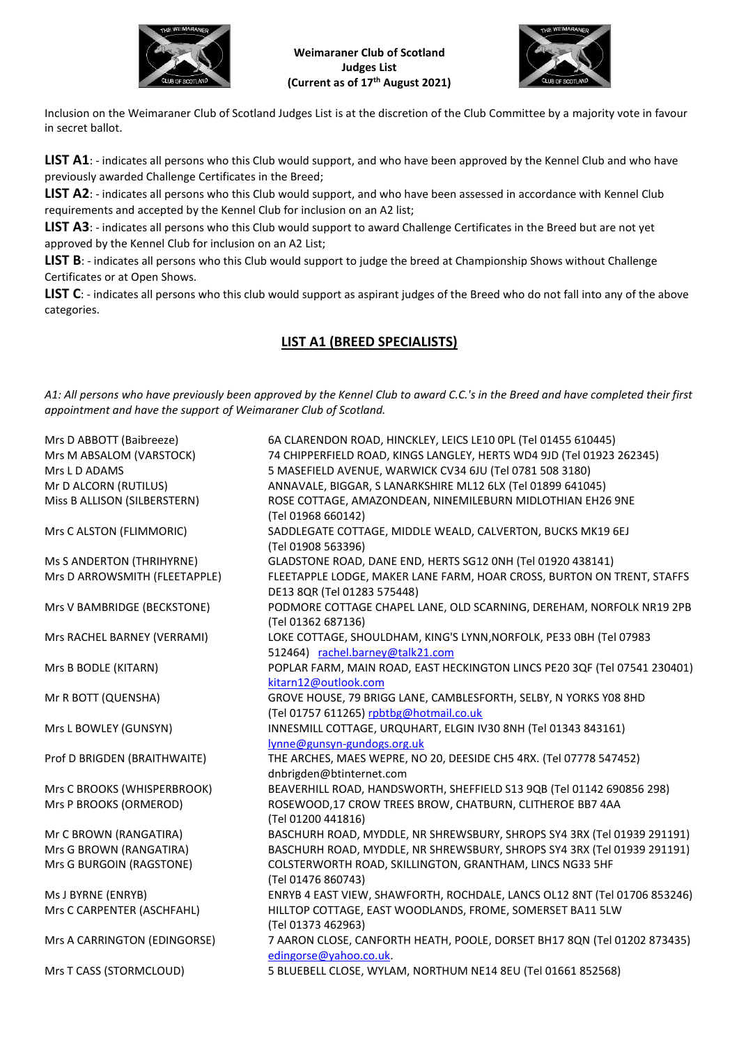



Inclusion on the Weimaraner Club of Scotland Judges List is at the discretion of the Club Committee by a majority vote in favour in secret ballot.

**LIST A1**: - indicates all persons who this Club would support, and who have been approved by the Kennel Club and who have previously awarded Challenge Certificates in the Breed;

**LIST A2**: - indicates all persons who this Club would support, and who have been assessed in accordance with Kennel Club requirements and accepted by the Kennel Club for inclusion on an A2 list;

**LIST A3**: - indicates all persons who this Club would support to award Challenge Certificates in the Breed but are not yet approved by the Kennel Club for inclusion on an A2 List;

**LIST B**: - indicates all persons who this Club would support to judge the breed at Championship Shows without Challenge Certificates or at Open Shows.

LIST C: - indicates all persons who this club would support as aspirant judges of the Breed who do not fall into any of the above categories.

# **LIST A1 (BREED SPECIALISTS)**

*A1: All persons who have previously been approved by the Kennel Club to award C.C.'s in the Breed and have completed their first appointment and have the support of Weimaraner Club of Scotland.*

| Mrs D ABBOTT (Baibreeze)      | 6A CLARENDON ROAD, HINCKLEY, LEICS LE10 OPL (Tel 01455 610445)            |
|-------------------------------|---------------------------------------------------------------------------|
| Mrs M ABSALOM (VARSTOCK)      | 74 CHIPPERFIELD ROAD, KINGS LANGLEY, HERTS WD4 9JD (Tel 01923 262345)     |
| Mrs LD ADAMS                  | 5 MASEFIELD AVENUE, WARWICK CV34 6JU (Tel 0781 508 3180)                  |
| Mr D ALCORN (RUTILUS)         | ANNAVALE, BIGGAR, S LANARKSHIRE ML12 6LX (Tel 01899 641045)               |
| Miss B ALLISON (SILBERSTERN)  | ROSE COTTAGE, AMAZONDEAN, NINEMILEBURN MIDLOTHIAN EH26 9NE                |
|                               | (Tel 01968 660142)                                                        |
| Mrs C ALSTON (FLIMMORIC)      | SADDLEGATE COTTAGE, MIDDLE WEALD, CALVERTON, BUCKS MK19 6EJ               |
|                               | (Tel 01908 563396)                                                        |
| Ms S ANDERTON (THRIHYRNE)     | GLADSTONE ROAD, DANE END, HERTS SG12 ONH (Tel 01920 438141)               |
| Mrs D ARROWSMITH (FLEETAPPLE) | FLEETAPPLE LODGE, MAKER LANE FARM, HOAR CROSS, BURTON ON TRENT, STAFFS    |
|                               | DE13 8QR (Tel 01283 575448)                                               |
| Mrs V BAMBRIDGE (BECKSTONE)   | PODMORE COTTAGE CHAPEL LANE, OLD SCARNING, DEREHAM, NORFOLK NR19 2PB      |
|                               | (Tel 01362 687136)                                                        |
| Mrs RACHEL BARNEY (VERRAMI)   | LOKE COTTAGE, SHOULDHAM, KING'S LYNN, NORFOLK, PE33 0BH (Tel 07983        |
|                               | 512464) rachel.barney@talk21.com                                          |
| Mrs B BODLE (KITARN)          | POPLAR FARM, MAIN ROAD, EAST HECKINGTON LINCS PE20 3QF (Tel 07541 230401) |
|                               | kitarn12@outlook.com                                                      |
| Mr R BOTT (QUENSHA)           | GROVE HOUSE, 79 BRIGG LANE, CAMBLESFORTH, SELBY, N YORKS Y08 8HD          |
|                               | (Tel 01757 611265) rpbtbg@hotmail.co.uk                                   |
| Mrs L BOWLEY (GUNSYN)         | INNESMILL COTTAGE, URQUHART, ELGIN IV30 8NH (Tel 01343 843161)            |
|                               | lynne@gunsyn-gundogs.org.uk                                               |
| Prof D BRIGDEN (BRAITHWAITE)  | THE ARCHES, MAES WEPRE, NO 20, DEESIDE CH5 4RX. (Tel 07778 547452)        |
|                               | dnbrigden@btinternet.com                                                  |
| Mrs C BROOKS (WHISPERBROOK)   | BEAVERHILL ROAD, HANDSWORTH, SHEFFIELD S13 9QB (Tel 01142 690856 298)     |
| Mrs P BROOKS (ORMEROD)        | ROSEWOOD,17 CROW TREES BROW, CHATBURN, CLITHEROE BB7 4AA                  |
|                               | (Tel 01200 441816)                                                        |
| Mr C BROWN (RANGATIRA)        | BASCHURH ROAD, MYDDLE, NR SHREWSBURY, SHROPS SY4 3RX (Tel 01939 291191)   |
| Mrs G BROWN (RANGATIRA)       | BASCHURH ROAD, MYDDLE, NR SHREWSBURY, SHROPS SY4 3RX (Tel 01939 291191)   |
| Mrs G BURGOIN (RAGSTONE)      | COLSTERWORTH ROAD, SKILLINGTON, GRANTHAM, LINCS NG33 5HF                  |
|                               | (Tel 01476 860743)                                                        |
| Ms J BYRNE (ENRYB)            | ENRYB 4 EAST VIEW, SHAWFORTH, ROCHDALE, LANCS OL12 8NT (Tel 01706 853246) |
| Mrs C CARPENTER (ASCHFAHL)    | HILLTOP COTTAGE, EAST WOODLANDS, FROME, SOMERSET BA11 5LW                 |
|                               | (Tel 01373 462963)                                                        |
| Mrs A CARRINGTON (EDINGORSE)  | 7 AARON CLOSE, CANFORTH HEATH, POOLE, DORSET BH17 8QN (Tel 01202 873435)  |
|                               | edingorse@yahoo.co.uk.                                                    |
| Mrs T CASS (STORMCLOUD)       | 5 BLUEBELL CLOSE, WYLAM, NORTHUM NE14 8EU (Tel 01661 852568)              |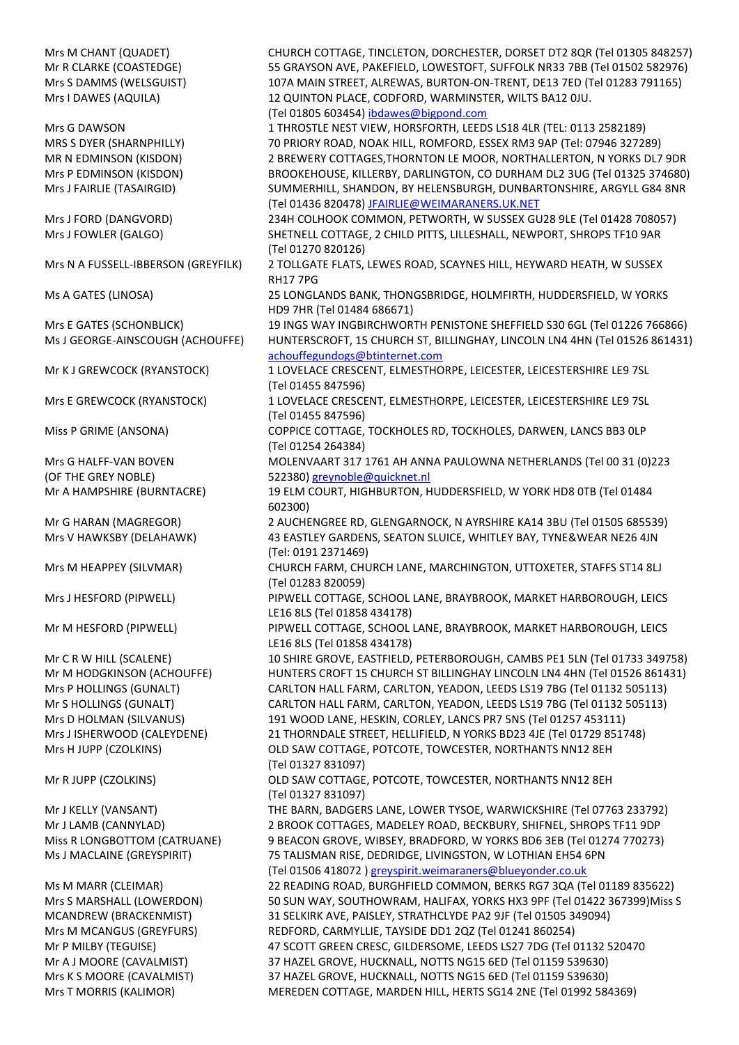Mrs M CHANT (QUADET) CHURCH COTTAGE, TINCLETON, DORCHESTER, DORSET DT2 8QR (Tel 01305 848257) Mr R CLARKE (COASTEDGE) 55 GRAYSON AVE, PAKEFIELD, LOWESTOFT, SUFFOLK NR33 7BB (Tel 01502 582976) Mrs S DAMMS (WELSGUIST) 107A MAIN STREET, ALREWAS, BURTON-ON-TRENT, DE13 7ED (Tel 01283 791165) Mrs I DAWES (AQUILA) 12 QUINTON PLACE, CODFORD, WARMINSTER, WILTS BA12 0JU. (Tel 01805 603454) [ibdawes@bigpond.com](mailto:ibdawes@bigpond.com) Mrs G DAWSON 1 THROSTLE NEST VIEW, HORSFORTH, LEEDS LS18 4LR (TEL: 0113 2582189) MRS S DYER (SHARNPHILLY) 70 PRIORY ROAD, NOAK HILL, ROMFORD, ESSEX RM3 9AP (Tel: 07946 327289) MR N EDMINSON (KISDON) 2 BREWERY COTTAGES,THORNTON LE MOOR, NORTHALLERTON, N YORKS DL7 9DR Mrs P EDMINSON (KISDON) BROOKEHOUSE, KILLERBY, DARLINGTON, CO DURHAM DL2 3UG (Tel 01325 374680) Mrs J FAIRLIE (TASAIRGID) SUMMERHILL, SHANDON, BY HELENSBURGH, DUNBARTONSHIRE, ARGYLL G84 8NR (Tel 01436 820478[\) JFAIRLIE@WEIMARANERS.UK.NET](mailto:JFAIRLIE@WEIMARANERS.UK.NET) Mrs J FORD (DANGVORD) 234H COLHOOK COMMON, PETWORTH, W SUSSEX GU28 9LE (Tel 01428 708057) Mrs J FOWLER (GALGO) SHETNELL COTTAGE, 2 CHILD PITTS, LILLESHALL, NEWPORT, SHROPS TF10 9AR (Tel 01270 820126) Mrs N A FUSSELL-IBBERSON (GREYFILK) 2 TOLLGATE FLATS, LEWES ROAD, SCAYNES HILL, HEYWARD HEATH, W SUSSEX RH17 7PG Ms A GATES (LINOSA) 25 LONGLANDS BANK, THONGSBRIDGE, HOLMFIRTH, HUDDERSFIELD, W YORKS HD9 7HR (Tel 01484 686671) Mrs E GATES (SCHONBLICK) 19 INGS WAY INGBIRCHWORTH PENISTONE SHEFFIELD S30 6GL (Tel 01226 766866) Ms J GEORGE-AINSCOUGH (ACHOUFFE) HUNTERSCROFT, 15 CHURCH ST, BILLINGHAY, LINCOLN LN4 4HN (Tel 01526 861431) [achouffegundogs@btinternet.com](file:///C:/Users/user/Downloads/achouffegundogs@btinternet.com) Mr K J GREWCOCK (RYANSTOCK) 1 LOVELACE CRESCENT, ELMESTHORPE, LEICESTER, LEICESTERSHIRE LE9 7SL (Tel 01455 847596) Mrs E GREWCOCK (RYANSTOCK) 1 LOVELACE CRESCENT, ELMESTHORPE, LEICESTER, LEICESTERSHIRE LE9 7SL (Tel 01455 847596) Miss P GRIME (ANSONA) COPPICE COTTAGE, TOCKHOLES RD, TOCKHOLES, DARWEN, LANCS BB3 0LP (Tel 01254 264384) Mrs G HALFF-VAN BOVEN MOLENVAART 317 1761 AH ANNA PAULOWNA NETHERLANDS (Tel 00 31 (0)223 (OF THE GREY NOBLE) 522380) [greynoble@quicknet.nl](mailto:greynoble@quicknet.nl) Mr A HAMPSHIRE (BURNTACRE) 19 ELM COURT, HIGHBURTON, HUDDERSFIELD, W YORK HD8 0TB (Tel 01484 602300) Mr G HARAN (MAGREGOR) 2 AUCHENGREE RD, GLENGARNOCK, N AYRSHIRE KA14 3BU (Tel 01505 685539) Mrs V HAWKSBY (DELAHAWK) 43 EASTLEY GARDENS, SEATON SLUICE, WHITLEY BAY, TYNE&WEAR NE26 4JN (Tel: 0191 2371469) Mrs M HEAPPEY (SILVMAR) CHURCH FARM, CHURCH LANE, MARCHINGTON, UTTOXETER, STAFFS ST14 8LJ (Tel 01283 820059) Mrs J HESFORD (PIPWELL) PIPWELL COTTAGE, SCHOOL LANE, BRAYBROOK, MARKET HARBOROUGH, LEICS LE16 8LS (Tel 01858 434178) Mr M HESFORD (PIPWELL) PIPWELL COTTAGE, SCHOOL LANE, BRAYBROOK, MARKET HARBOROUGH, LEICS LE16 8LS (Tel 01858 434178) Mr C R W HILL (SCALENE) 10 SHIRE GROVE, EASTFIELD, PETERBOROUGH, CAMBS PE1 5LN (Tel 01733 349758) Mr M HODGKINSON (ACHOUFFE) HUNTERS CROFT 15 CHURCH ST BILLINGHAY LINCOLN LN4 4HN (Tel 01526 861431) Mrs P HOLLINGS (GUNALT) CARLTON HALL FARM, CARLTON, YEADON, LEEDS LS19 7BG (Tel 01132 505113) Mr S HOLLINGS (GUNALT) CARLTON HALL FARM, CARLTON, YEADON, LEEDS LS19 7BG (Tel 01132 505113) Mrs D HOLMAN (SILVANUS) 191 WOOD LANE, HESKIN, CORLEY, LANCS PR7 5NS (Tel 01257 453111) Mrs J ISHERWOOD (CALEYDENE) 21 THORNDALE STREET, HELLIFIELD, N YORKS BD23 4JE (Tel 01729 851748) Mrs H JUPP (CZOLKINS) OLD SAW COTTAGE, POTCOTE, TOWCESTER, NORTHANTS NN12 8EH (Tel 01327 831097) Mr R JUPP (CZOLKINS) OLD SAW COTTAGE, POTCOTE, TOWCESTER, NORTHANTS NN12 8EH (Tel 01327 831097) Mr J KELLY (VANSANT) THE BARN, BADGERS LANE, LOWER TYSOE, WARWICKSHIRE (Tel 07763 233792) Mr J LAMB (CANNYLAD) 2 BROOK COTTAGES, MADELEY ROAD, BECKBURY, SHIFNEL, SHROPS TF11 9DP Miss R LONGBOTTOM (CATRUANE) 9 BEACON GROVE, WIBSEY, BRADFORD, W YORKS BD6 3EB (Tel 01274 770273) Ms J MACLAINE (GREYSPIRIT) 75 TALISMAN RISE, DEDRIDGE, LIVINGSTON, W LOTHIAN EH54 6PN (Tel 01506 418072 ) [greyspirit.weimaraners@blueyonder.co.uk](mailto:greyspirit.weimaraners@blueyonder.co.uk) Ms M MARR (CLEIMAR) 22 READING ROAD, BURGHFIELD COMMON, BERKS RG7 3QA (Tel 01189 835622) Mrs S MARSHALL (LOWERDON) 50 SUN WAY, SOUTHOWRAM, HALIFAX, YORKS HX3 9PF (Tel 01422 367399)Miss S MCANDREW (BRACKENMIST) 31 SELKIRK AVE, PAISLEY, STRATHCLYDE PA2 9JF (Tel 01505 349094) Mrs M MCANGUS (GREYFURS) REDFORD, CARMYLLIE, TAYSIDE DD1 2QZ (Tel 01241 860254) Mr P MILBY (TEGUISE) 47 SCOTT GREEN CRESC, GILDERSOME, LEEDS LS27 7DG (Tel 01132 520470 Mr A J MOORE (CAVALMIST) 37 HAZEL GROVE, HUCKNALL, NOTTS NG15 6ED (Tel 01159 539630) Mrs K S MOORE (CAVALMIST) 37 HAZEL GROVE, HUCKNALL, NOTTS NG15 6ED (Tel 01159 539630) Mrs T MORRIS (KALIMOR) MEREDEN COTTAGE, MARDEN HILL, HERTS SG14 2NE (Tel 01992 584369)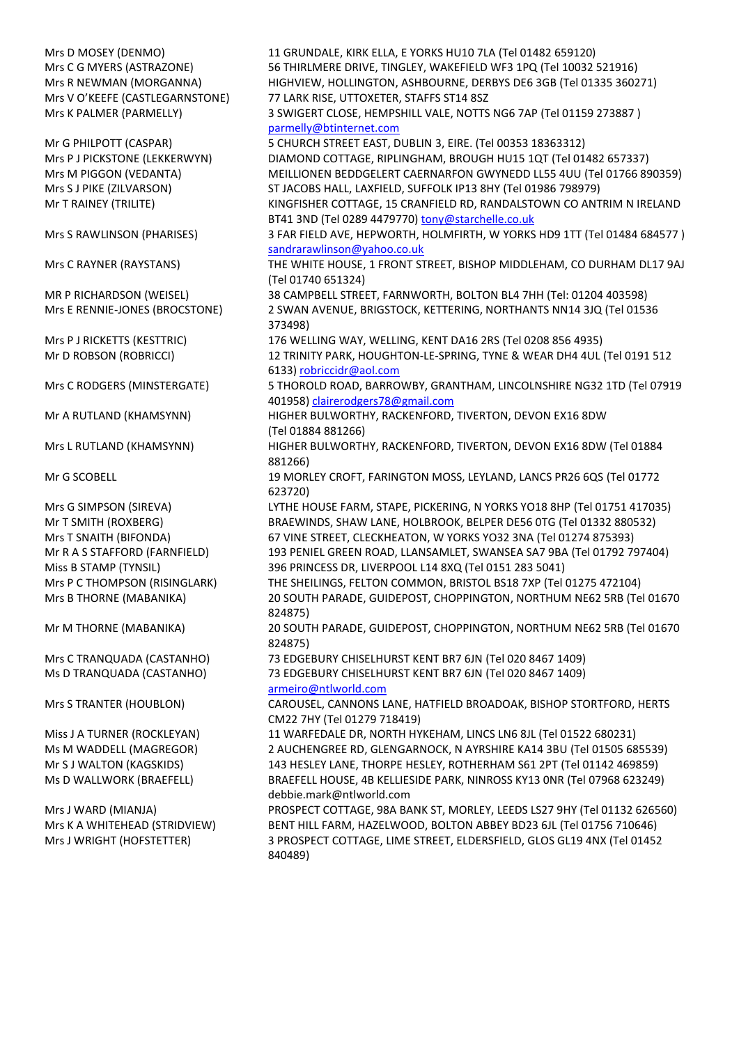Mrs D MOSEY (DENMO) 11 GRUNDALE, KIRK ELLA, E YORKS HU10 7LA (Tel 01482 659120) Mrs C G MYERS (ASTRAZONE) 56 THIRLMERE DRIVE, TINGLEY, WAKEFIELD WF3 1PQ (Tel 10032 521916) Mrs R NEWMAN (MORGANNA) HIGHVIEW, HOLLINGTON, ASHBOURNE, DERBYS DE6 3GB (Tel 01335 360271) Mrs V O'KEEFE (CASTLEGARNSTONE) 77 LARK RISE, UTTOXETER, STAFFS ST14 8SZ Mrs K PALMER (PARMELLY) 3 SWIGERT CLOSE, HEMPSHILL VALE, NOTTS NG6 7AP (Tel 01159 273887 ) [parmelly@btinternet.com](mailto:parmelly@btinternet.com) Mr G PHILPOTT (CASPAR) 5 CHURCH STREET EAST, DUBLIN 3, EIRE. (Tel 00353 18363312) Mrs P J PICKSTONE (LEKKERWYN) DIAMOND COTTAGE, RIPLINGHAM, BROUGH HU15 1QT (Tel 01482 657337) Mrs M PIGGON (VEDANTA) MEILLIONEN BEDDGELERT CAERNARFON GWYNEDD LL55 4UU (Tel 01766 890359) Mrs S J PIKE (ZILVARSON) ST JACOBS HALL, LAXFIELD, SUFFOLK IP13 8HY (Tel 01986 798979) Mr T RAINEY (TRILITE) KINGFISHER COTTAGE, 15 CRANFIELD RD, RANDALSTOWN CO ANTRIM N IRELAND BT41 3ND (Tel 0289 4479770[\) tony@starchelle.co.uk](http://www.weimaraner-scotland.com/JudgesLists/tony@starchelle.co.uk) Mrs S RAWLINSON (PHARISES) 3 FAR FIELD AVE, HEPWORTH, HOLMFIRTH, W YORKS HD9 1TT (Tel 01484 684577 ) [sandrarawlinson@yahoo.co.uk](http://www.weimaraner-scotland.com/JudgesLists/sandrarawlinson@yahoo.co.uk) Mrs C RAYNER (RAYSTANS) THE WHITE HOUSE, 1 FRONT STREET, BISHOP MIDDLEHAM, CO DURHAM DL17 9AJ (Tel 01740 651324) MR P RICHARDSON (WEISEL) 38 CAMPBELL STREET, FARNWORTH, BOLTON BL4 7HH (Tel: 01204 403598) Mrs E RENNIE-JONES (BROCSTONE) 2 SWAN AVENUE, BRIGSTOCK, KETTERING, NORTHANTS NN14 3JQ (Tel 01536 373498) Mrs P J RICKETTS (KESTTRIC) 176 WELLING WAY, WELLING, KENT DA16 2RS (Tel 0208 856 4935) Mr D ROBSON (ROBRICCI) 12 TRINITY PARK, HOUGHTON-LE-SPRING, TYNE & WEAR DH4 4UL (Tel 0191 512 6133) [robriccidr@aol.com](mailto:robriccidr@aol.com) Mrs C RODGERS (MINSTERGATE) 5 THOROLD ROAD, BARROWBY, GRANTHAM, LINCOLNSHIRE NG32 1TD (Tel 07919 401958) [clairerodgers78@gmail.com](mailto:clairerodgers78@gmail.com) Mr A RUTLAND (KHAMSYNN) HIGHER BULWORTHY, RACKENFORD, TIVERTON, DEVON EX16 8DW (Tel 01884 881266) Mrs L RUTLAND (KHAMSYNN) HIGHER BULWORTHY, RACKENFORD, TIVERTON, DEVON EX16 8DW (Tel 01884 881266) Mr G SCOBELL 19 MORLEY CROFT, FARINGTON MOSS, LEYLAND, LANCS PR26 6QS (Tel 01772 623720) Mrs G SIMPSON (SIREVA) LYTHE HOUSE FARM, STAPE, PICKERING, N YORKS YO18 8HP (Tel 01751 417035) Mr T SMITH (ROXBERG) BRAEWINDS, SHAW LANE, HOLBROOK, BELPER DE56 0TG (Tel 01332 880532) Mrs T SNAITH (BIFONDA) 67 VINE STREET, CLECKHEATON, W YORKS YO32 3NA (Tel 01274 875393) Mr R A S STAFFORD (FARNFIELD) 193 PENIEL GREEN ROAD, LLANSAMLET, SWANSEA SA7 9BA (Tel 01792 797404) Miss B STAMP (TYNSIL) 396 PRINCESS DR, LIVERPOOL L14 8XQ (Tel 0151 283 5041) Mrs P C THOMPSON (RISINGLARK) THE SHEILINGS, FELTON COMMON, BRISTOL BS18 7XP (Tel 01275 472104) Mrs B THORNE (MABANIKA) 20 SOUTH PARADE, GUIDEPOST, CHOPPINGTON, NORTHUM NE62 5RB (Tel 01670 824875) Mr M THORNE (MABANIKA) 20 SOUTH PARADE, GUIDEPOST, CHOPPINGTON, NORTHUM NE62 5RB (Tel 01670 824875) Mrs C TRANQUADA (CASTANHO) 73 EDGEBURY CHISELHURST KENT BR7 6JN (Tel 020 8467 1409) Ms D TRANQUADA (CASTANHO) 73 EDGEBURY CHISELHURST KENT BR7 6JN (Tel 020 8467 1409) [armeiro@ntlworld.com](mailto:armeiro@ntlworld.com) Mrs S TRANTER (HOUBLON) CAROUSEL, CANNONS LANE, HATFIELD BROADOAK, BISHOP STORTFORD, HERTS CM22 7HY (Tel 01279 718419) Miss J A TURNER (ROCKLEYAN) 11 WARFEDALE DR, NORTH HYKEHAM, LINCS LN6 8JL (Tel 01522 680231) Ms M WADDELL (MAGREGOR) 2 AUCHENGREE RD, GLENGARNOCK, N AYRSHIRE KA14 3BU (Tel 01505 685539) Mr S J WALTON (KAGSKIDS) 143 HESLEY LANE, THORPE HESLEY, ROTHERHAM S61 2PT (Tel 01142 469859) Ms D WALLWORK (BRAEFELL) BRAEFELL HOUSE, 4B KELLIESIDE PARK, NINROSS KY13 0NR (Tel 07968 623249) debbie.mark@ntlworld.com Mrs J WARD (MIANJA) PROSPECT COTTAGE, 98A BANK ST, MORLEY, LEEDS LS27 9HY (Tel 01132 626560) Mrs K A WHITEHEAD (STRIDVIEW) BENT HILL FARM, HAZELWOOD, BOLTON ABBEY BD23 6JL (Tel 01756 710646) Mrs J WRIGHT (HOFSTETTER) 3 PROSPECT COTTAGE, LIME STREET, ELDERSFIELD, GLOS GL19 4NX (Tel 01452

840489)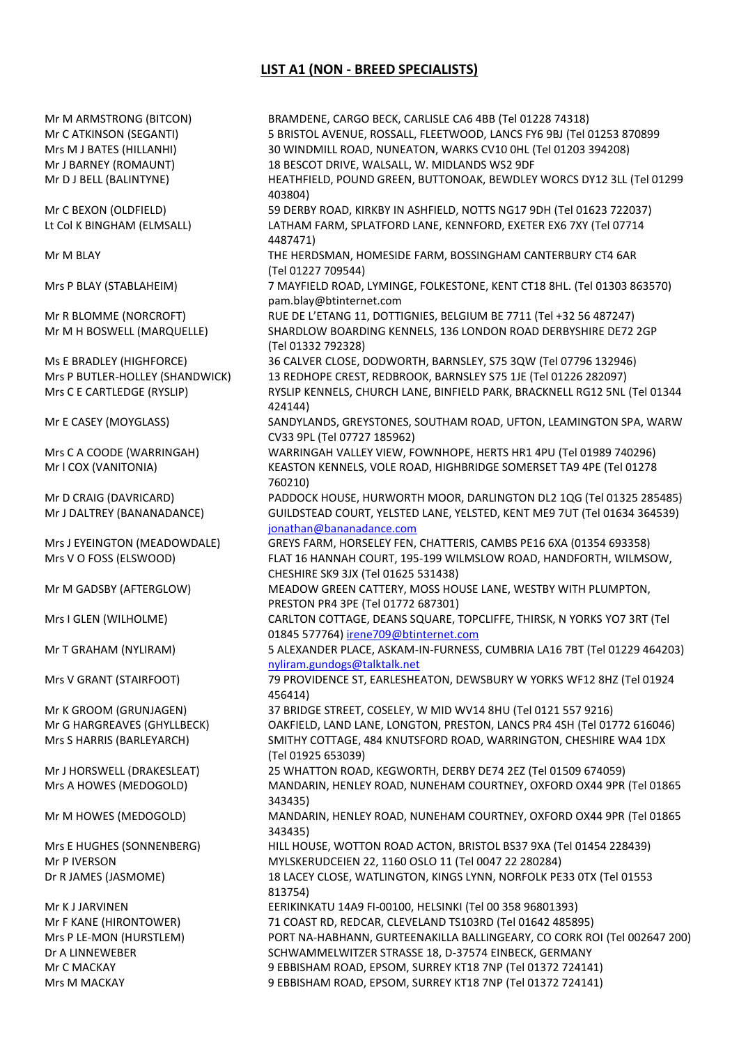# **LIST A1 (NON - BREED SPECIALISTS)**

Mr M ARMSTRONG (BITCON) BRAMDENE, CARGO BECK, CARLISLE CA6 4BB (Tel 01228 74318) Mr C ATKINSON (SEGANTI) 5 BRISTOL AVENUE, ROSSALL, FLEETWOOD, LANCS FY6 9BJ (Tel 01253 870899 Mrs M J BATES (HILLANHI) 30 WINDMILL ROAD, NUNEATON, WARKS CV10 0HL (Tel 01203 394208) Mr J BARNEY (ROMAUNT) 18 BESCOT DRIVE, WALSALL, W. MIDLANDS WS2 9DF Mr D J BELL (BALINTYNE) HEATHFIELD, POUND GREEN, BUTTONOAK, BEWDLEY WORCS DY12 3LL (Tel 01299 403804) Mr C BEXON (OLDFIELD) 59 DERBY ROAD, KIRKBY IN ASHFIELD, NOTTS NG17 9DH (Tel 01623 722037) Lt Col K BINGHAM (ELMSALL) LATHAM FARM, SPLATFORD LANE, KENNFORD, EXETER EX6 7XY (Tel 07714 4487471) Mr M BLAY THE HERDSMAN, HOMESIDE FARM, BOSSINGHAM CANTERBURY CT4 6AR (Tel 01227 709544) Mrs P BLAY (STABLAHEIM) 7 MAYFIELD ROAD, LYMINGE, FOLKESTONE, KENT CT18 8HL. (Tel 01303 863570) pam.blay@btinternet.com Mr R BLOMME (NORCROFT) RUE DE L'ETANG 11, DOTTIGNIES, BELGIUM BE 7711 (Tel +32 56 487247) Mr M H BOSWELL (MARQUELLE) SHARDLOW BOARDING KENNELS, 136 LONDON ROAD DERBYSHIRE DE72 2GP (Tel 01332 792328) Ms E BRADLEY (HIGHFORCE) 36 CALVER CLOSE, DODWORTH, BARNSLEY, S75 3QW (Tel 07796 132946) Mrs P BUTLER-HOLLEY (SHANDWICK) 13 REDHOPE CREST, REDBROOK, BARNSLEY S75 1JE (Tel 01226 282097) Mrs C E CARTLEDGE (RYSLIP) RYSLIP KENNELS, CHURCH LANE, BINFIELD PARK, BRACKNELL RG12 5NL (Tel 01344 424144) Mr E CASEY (MOYGLASS) SANDYLANDS, GREYSTONES, SOUTHAM ROAD, UFTON, LEAMINGTON SPA, WARW CV33 9PL (Tel 07727 185962) Mrs C A COODE (WARRINGAH) WARRINGAH VALLEY VIEW, FOWNHOPE, HERTS HR1 4PU (Tel 01989 740296) Mr l COX (VANITONIA) KEASTON KENNELS, VOLE ROAD, HIGHBRIDGE SOMERSET TA9 4PE (Tel 01278 760210) Mr D CRAIG (DAVRICARD) PADDOCK HOUSE, HURWORTH MOOR, DARLINGTON DL2 1QG (Tel 01325 285485) Mr J DALTREY (BANANADANCE) GUILDSTEAD COURT, YELSTED LANE, YELSTED, KENT ME9 7UT (Tel 01634 364539) [jonathan@bananadance.com](mailto:jonathan@bananadance.com) Mrs J EYEINGTON (MEADOWDALE) GREYS FARM, HORSELEY FEN, CHATTERIS, CAMBS PE16 6XA (01354 693358) Mrs V O FOSS (ELSWOOD) FLAT 16 HANNAH COURT, 195-199 WILMSLOW ROAD, HANDFORTH, WILMSOW, CHESHIRE SK9 3JX (Tel 01625 531438) Mr M GADSBY (AFTERGLOW) MEADOW GREEN CATTERY, MOSS HOUSE LANE, WESTBY WITH PLUMPTON, PRESTON PR4 3PE (Tel 01772 687301) Mrs I GLEN (WILHOLME) CARLTON COTTAGE, DEANS SQUARE, TOPCLIFFE, THIRSK, N YORKS YO7 3RT (Tel 01845 577764) [irene709@btinternet.com](mailto:irene709@btinternet.com) Mr T GRAHAM (NYLIRAM) 5 ALEXANDER PLACE, ASKAM-IN-FURNESS, CUMBRIA LA16 7BT (Tel 01229 464203) [nyliram.gundogs@talktalk.net](mailto:nyliram.gundogs@talktalk.net) Mrs V GRANT (STAIRFOOT) 79 PROVIDENCE ST, EARLESHEATON, DEWSBURY W YORKS WF12 8HZ (Tel 01924 456414) Mr K GROOM (GRUNJAGEN) 37 BRIDGE STREET, COSELEY, W MID WV14 8HU (Tel 0121 557 9216) Mr G HARGREAVES (GHYLLBECK) OAKFIELD, LAND LANE, LONGTON, PRESTON, LANCS PR4 4SH (Tel 01772 616046) Mrs S HARRIS (BARLEYARCH) SMITHY COTTAGE, 484 KNUTSFORD ROAD, WARRINGTON, CHESHIRE WA4 1DX (Tel 01925 653039) Mr J HORSWELL (DRAKESLEAT) 25 WHATTON ROAD, KEGWORTH, DERBY DE74 2EZ (Tel 01509 674059) Mrs A HOWES (MEDOGOLD) MANDARIN, HENLEY ROAD, NUNEHAM COURTNEY, OXFORD OX44 9PR (Tel 01865 343435) Mr M HOWES (MEDOGOLD) MANDARIN, HENLEY ROAD, NUNEHAM COURTNEY, OXFORD OX44 9PR (Tel 01865 343435) Mrs E HUGHES (SONNENBERG) HILL HOUSE, WOTTON ROAD ACTON, BRISTOL BS37 9XA (Tel 01454 228439) Mr P IVERSON MYLSKERUDCEIEN 22, 1160 OSLO 11 (Tel 0047 22 280284) Dr R JAMES (JASMOME) 18 LACEY CLOSE, WATLINGTON, KINGS LYNN, NORFOLK PE33 0TX (Tel 01553 813754) Mr K J JARVINEN EERIKINKATU 14A9 FI-00100, HELSINKI (Tel 00 358 96801393) Mr F KANE (HIRONTOWER) 71 COAST RD, REDCAR, CLEVELAND TS103RD (Tel 01642 485895) Mrs P LE-MON (HURSTLEM) PORT NA-HABHANN, GURTEENAKILLA BALLINGEARY, CO CORK ROI (Tel 002647 200) Dr A LINNEWEBER SCHWAMMELWITZER STRASSE 18, D-37574 EINBECK, GERMANY Mr C MACKAY 9 EBBISHAM ROAD, EPSOM, SURREY KT18 7NP (Tel 01372 724141) Mrs M MACKAY 9 EBBISHAM ROAD, EPSOM, SURREY KT18 7NP (Tel 01372 724141)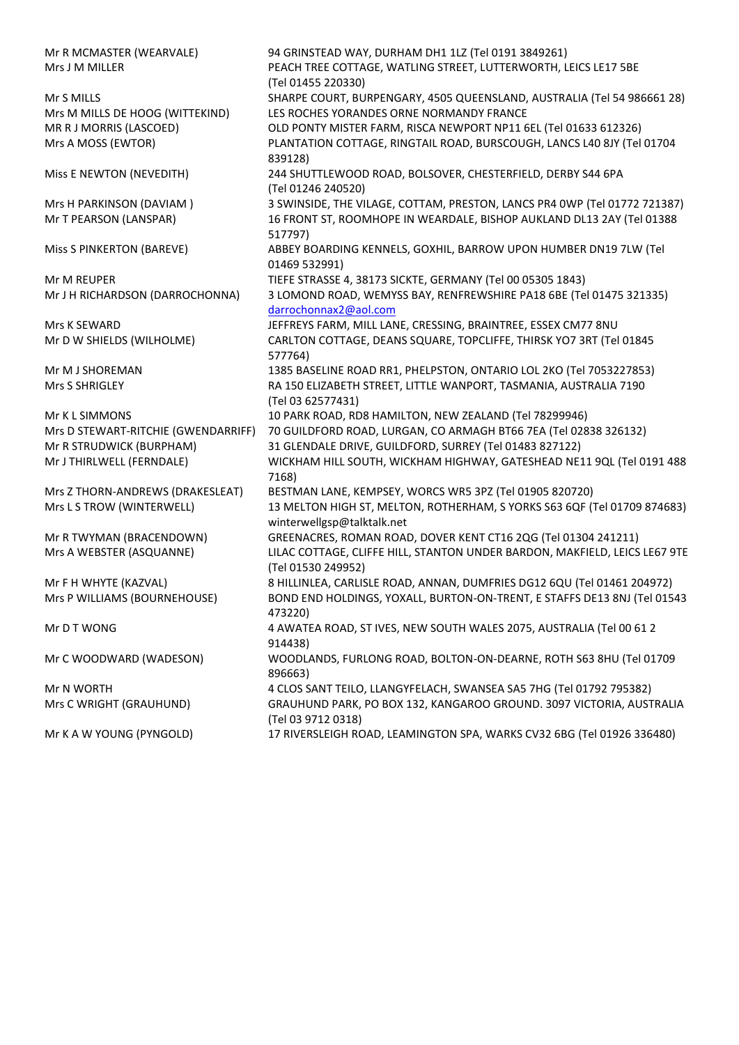Mr R MCMASTER (WEARVALE) 94 GRINSTEAD WAY, DURHAM DH1 1LZ (Tel 0191 3849261) Mrs J M MILLER PEACH TREE COTTAGE, WATLING STREET, LUTTERWORTH, LEICS LE17 5BE (Tel 01455 220330) Mr S MILLS SHARPE COURT, BURPENGARY, 4505 QUEENSLAND, AUSTRALIA (Tel 54 986661 28) Mrs M MILLS DE HOOG (WITTEKIND) LES ROCHES YORANDES ORNE NORMANDY FRANCE MR R J MORRIS (LASCOED) OLD PONTY MISTER FARM, RISCA NEWPORT NP11 6EL (Tel 01633 612326) Mrs A MOSS (EWTOR) PLANTATION COTTAGE, RINGTAIL ROAD, BURSCOUGH, LANCS L40 8JY (Tel 01704 839128) Miss E NEWTON (NEVEDITH) 244 SHUTTLEWOOD ROAD, BOLSOVER, CHESTERFIELD, DERBY S44 6PA (Tel 01246 240520) Mrs H PARKINSON (DAVIAM ) 3 SWINSIDE, THE VILAGE, COTTAM, PRESTON, LANCS PR4 0WP (Tel 01772 721387) Mr T PEARSON (LANSPAR) 16 FRONT ST, ROOMHOPE IN WEARDALE, BISHOP AUKLAND DL13 2AY (Tel 01388 517797) Miss S PINKERTON (BAREVE) ABBEY BOARDING KENNELS, GOXHIL, BARROW UPON HUMBER DN19 7LW (Tel 01469 532991) Mr M REUPER TRASSE 4, 38173 SICKTE, GERMANY (Tel 00 05305 1843) Mr J H RICHARDSON (DARROCHONNA) 3 LOMOND ROAD, WEMYSS BAY, RENFREWSHIRE PA18 6BE (Tel 01475 321335) [darrochonnax2@aol.com](http://www.weimaraner-scotland.com/JudgesLists/darrochonnax2@aol.com) Mrs K SEWARD JEFFREYS FARM, MILL LANE, CRESSING, BRAINTREE, ESSEX CM77 8NU Mr D W SHIELDS (WILHOLME) CARLTON COTTAGE, DEANS SQUARE, TOPCLIFFE, THIRSK YO7 3RT (Tel 01845 577764) Mr M J SHOREMAN 1385 BASELINE ROAD RR1, PHELPSTON, ONTARIO LOL 2KO (Tel 7053227853) Mrs S SHRIGLEY RA 150 ELIZABETH STREET, LITTLE WANPORT, TASMANIA, AUSTRALIA 7190 (Tel 03 62577431) Mr K L SIMMONS 10 PARK ROAD, RD8 HAMILTON, NEW ZEALAND (Tel 78299946) Mrs D STEWART-RITCHIE (GWENDARRIFF) 70 GUILDFORD ROAD, LURGAN, CO ARMAGH BT66 7EA (Tel 02838 326132) Mr R STRUDWICK (BURPHAM) 31 GLENDALE DRIVE, GUILDFORD, SURREY (Tel 01483 827122) Mr J THIRLWELL (FERNDALE) WICKHAM HILL SOUTH, WICKHAM HIGHWAY, GATESHEAD NE11 9QL (Tel 0191 488 7168) Mrs Z THORN-ANDREWS (DRAKESLEAT) BESTMAN LANE, KEMPSEY, WORCS WR5 3PZ (Tel 01905 820720) Mrs L S TROW (WINTERWELL) 13 MELTON HIGH ST, MELTON, ROTHERHAM, S YORKS S63 6QF (Tel 01709 874683) winterwellgsp@talktalk.net Mr R TWYMAN (BRACENDOWN) GREENACRES, ROMAN ROAD, DOVER KENT CT16 2QG (Tel 01304 241211) Mrs A WEBSTER (ASQUANNE) LILAC COTTAGE, CLIFFE HILL, STANTON UNDER BARDON, MAKFIELD, LEICS LE67 9TE (Tel 01530 249952) Mr F H WHYTE (KAZVAL) 8 HILLINLEA, CARLISLE ROAD, ANNAN, DUMFRIES DG12 6QU (Tel 01461 204972) Mrs P WILLIAMS (BOURNEHOUSE) BOND END HOLDINGS, YOXALL, BURTON-ON-TRENT, E STAFFS DE13 8NJ (Tel 01543 473220) Mr D T WONG 4 AWATEA ROAD, ST IVES, NEW SOUTH WALES 2075, AUSTRALIA (Tel 00 61 2 914438) Mr C WOODWARD (WADESON) WOODLANDS, FURLONG ROAD, BOLTON-ON-DEARNE, ROTH S63 8HU (Tel 01709 896663) Mr N WORTH 4 CLOS SANT TEILO, LLANGYFELACH, SWANSEA SA5 7HG (Tel 01792 795382) Mrs C WRIGHT (GRAUHUND) GRAUHUND PARK, PO BOX 132, KANGAROO GROUND. 3097 VICTORIA, AUSTRALIA (Tel 03 9712 0318) Mr K A W YOUNG (PYNGOLD) 17 RIVERSLEIGH ROAD, LEAMINGTON SPA, WARKS CV32 6BG (Tel 01926 336480)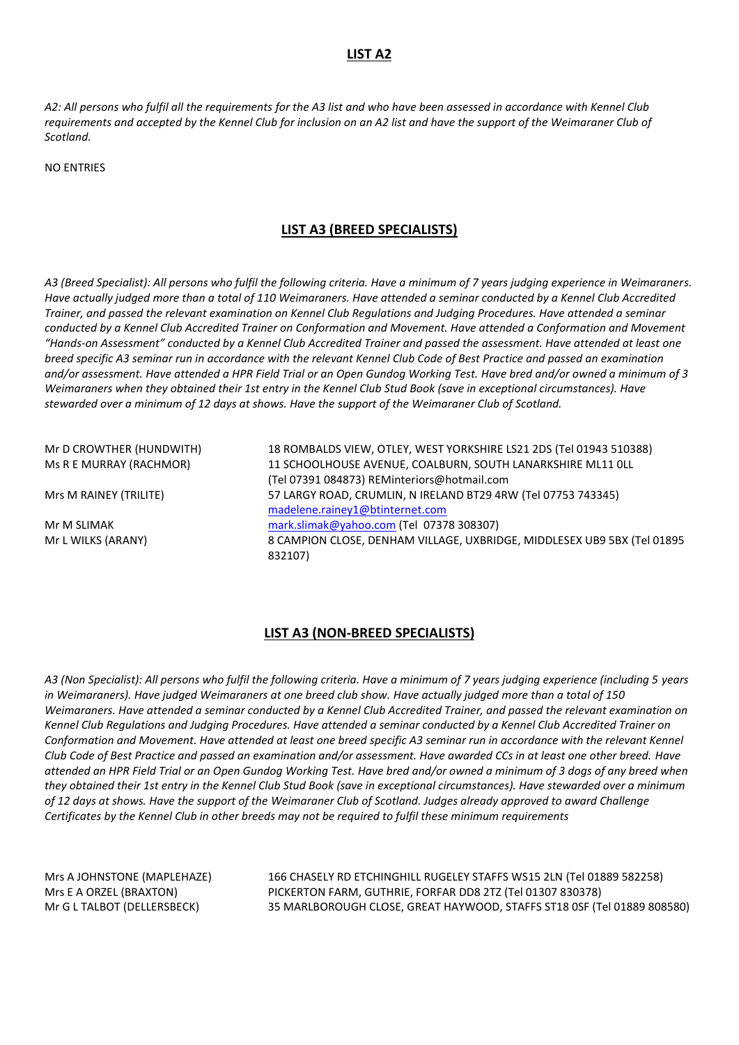### **LIST A2**

*A2: All persons who fulfil all the requirements for the A3 list and who have been assessed in accordance with Kennel Club requirements and accepted by the Kennel Club for inclusion on an A2 list and have the support of the Weimaraner Club of Scotland.*

NO ENTRIES

### **LIST A3 (BREED SPECIALISTS)**

*A3 (Breed Specialist): All persons who fulfil the following criteria. Have a minimum of 7 years judging experience in Weimaraners. Have actually judged more than a total of 110 Weimaraners. Have attended a seminar conducted by a Kennel Club Accredited Trainer, and passed the relevant examination on Kennel Club Regulations and Judging Procedures. Have attended a seminar conducted by a Kennel Club Accredited Trainer on Conformation and Movement. Have attended a Conformation and Movement "Hands-on Assessment" conducted by a Kennel Club Accredited Trainer and passed the assessment. Have attended at least one breed specific A3 seminar run in accordance with the relevant Kennel Club Code of Best Practice and passed an examination and/or assessment. Have attended a HPR Field Trial or an Open Gundog Working Test. Have bred and/or owned a minimum of 3 Weimaraners when they obtained their 1st entry in the Kennel Club Stud Book (save in exceptional circumstances). Have stewarded over a minimum of 12 days at shows. Have the support of the Weimaraner Club of Scotland.*

Mr D CROWTHER (HUNDWITH) 18 ROMBALDS VIEW, OTLEY, WEST YORKSHIRE LS21 2DS (Tel 01943 510388) Ms R E MURRAY (RACHMOR) 11 SCHOOLHOUSE AVENUE, COALBURN, SOUTH LANARKSHIRE ML11 0LL (Tel 07391 084873) REMinteriors@hotmail.com Mrs M RAINEY (TRILITE) 57 LARGY ROAD, CRUMLIN, N IRELAND BT29 4RW (Tel 07753 743345) [madelene.rainey1@btinternet.com](mailto:madelene.rainey1@btinternet.com) Mr M SLIMAK [mark.slimak@yahoo.com](mailto:mark.slimak@yahoo.com) (Tel 07378 308307) Mr L WILKS (ARANY) 8 CAMPION CLOSE, DENHAM VILLAGE, UXBRIDGE, MIDDLESEX UB9 5BX (Tel 01895 832107)

#### **LIST A3 (NON-BREED SPECIALISTS)**

*A3 (Non Specialist): All persons who fulfil the following criteria. Have a minimum of 7 years judging experience (including 5 years in Weimaraners). Have judged Weimaraners at one breed club show. Have actually judged more than a total of 150 Weimaraners. Have attended a seminar conducted by a Kennel Club Accredited Trainer, and passed the relevant examination on Kennel Club Regulations and Judging Procedures. Have attended a seminar conducted by a Kennel Club Accredited Trainer on Conformation and Movement. Have attended at least one breed specific A3 seminar run in accordance with the relevant Kennel Club Code of Best Practice and passed an examination and/or assessment. Have awarded CCs in at least one other breed. Have attended an HPR Field Trial or an Open Gundog Working Test. Have bred and/or owned a minimum of 3 dogs of any breed when they obtained their 1st entry in the Kennel Club Stud Book (save in exceptional circumstances). Have stewarded over a minimum of 12 days at shows. Have the support of the Weimaraner Club of Scotland. Judges already approved to award Challenge Certificates by the Kennel Club in other breeds may not be required to fulfil these minimum requirements*

Mrs A JOHNSTONE (MAPLEHAZE) 166 CHASELY RD ETCHINGHILL RUGELEY STAFFS WS15 2LN (Tel 01889 582258) Mrs E A ORZEL (BRAXTON) PICKERTON FARM, GUTHRIE, FORFAR DD8 2TZ (Tel 01307 830378) Mr G L TALBOT (DELLERSBECK) 35 MARLBOROUGH CLOSE, GREAT HAYWOOD, STAFFS ST18 0SF (Tel 01889 808580)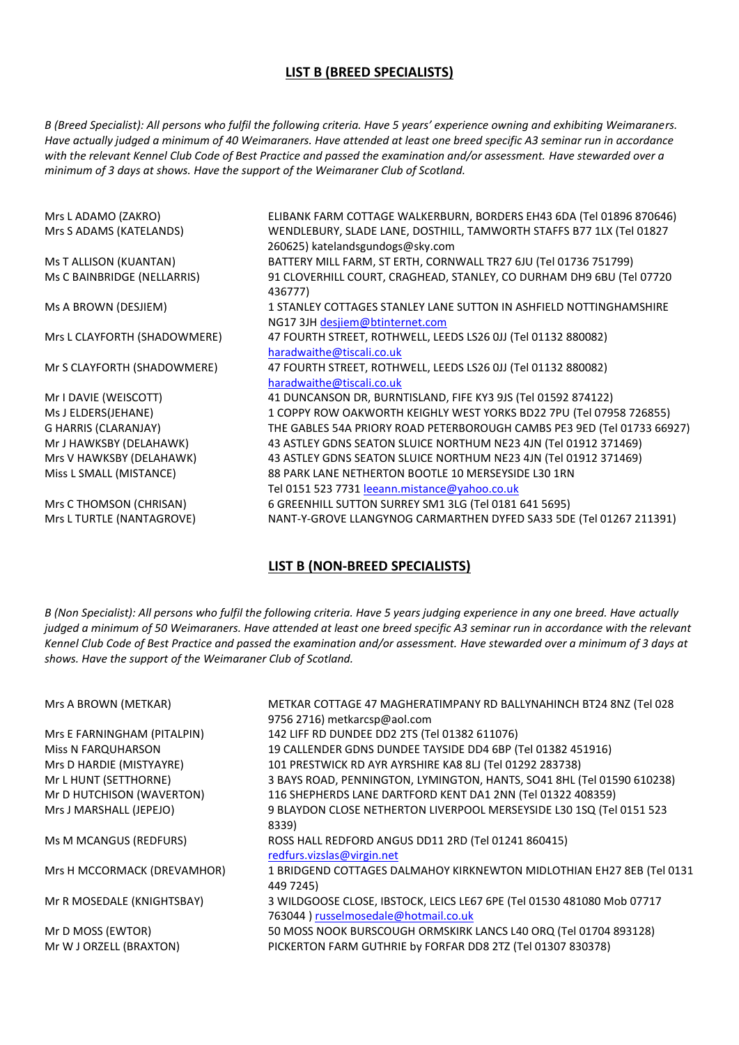## **LIST B (BREED SPECIALISTS)**

*B (Breed Specialist): All persons who fulfil the following criteria. Have 5 years' experience owning and exhibiting Weimaraners. Have actually judged a minimum of 40 Weimaraners. Have attended at least one breed specific A3 seminar run in accordance with the relevant Kennel Club Code of Best Practice and passed the examination and/or assessment. Have stewarded over a minimum of 3 days at shows. Have the support of the Weimaraner Club of Scotland.*

| Mrs L ADAMO (ZAKRO)          | ELIBANK FARM COTTAGE WALKERBURN, BORDERS EH43 6DA (Tel 01896 870646)    |
|------------------------------|-------------------------------------------------------------------------|
| Mrs S ADAMS (KATELANDS)      | WENDLEBURY, SLADE LANE, DOSTHILL, TAMWORTH STAFFS B77 1LX (Tel 01827    |
|                              | 260625) katelandsgundogs@sky.com                                        |
| Ms T ALLISON (KUANTAN)       | BATTERY MILL FARM, ST ERTH, CORNWALL TR27 6JU (Tel 01736 751799)        |
| Ms C BAINBRIDGE (NELLARRIS)  | 91 CLOVERHILL COURT, CRAGHEAD, STANLEY, CO DURHAM DH9 6BU (Tel 07720    |
|                              | 436777)                                                                 |
| Ms A BROWN (DESJIEM)         | 1 STANLEY COTTAGES STANLEY LANE SUTTON IN ASHFIELD NOTTINGHAMSHIRE      |
|                              | NG17 3JH desjiem@btinternet.com                                         |
| Mrs L CLAYFORTH (SHADOWMERE) | 47 FOURTH STREET, ROTHWELL, LEEDS LS26 0JJ (Tel 01132 880082)           |
|                              | haradwaithe@tiscali.co.uk                                               |
| Mr S CLAYFORTH (SHADOWMERE)  | 47 FOURTH STREET, ROTHWELL, LEEDS LS26 0JJ (Tel 01132 880082)           |
|                              | haradwaithe@tiscali.co.uk                                               |
| Mr I DAVIE (WEISCOTT)        | 41 DUNCANSON DR, BURNTISLAND, FIFE KY3 9JS (Tel 01592 874122)           |
| Ms J ELDERS(JEHANE)          | 1 COPPY ROW OAKWORTH KEIGHLY WEST YORKS BD22 7PU (Tel 07958 726855)     |
| <b>G HARRIS (CLARANJAY)</b>  | THE GABLES 54A PRIORY ROAD PETERBOROUGH CAMBS PE3 9ED (Tel 01733 66927) |
| Mr J HAWKSBY (DELAHAWK)      | 43 ASTLEY GDNS SEATON SLUICE NORTHUM NE23 4JN (Tel 01912 371469)        |
| Mrs V HAWKSBY (DELAHAWK)     | 43 ASTLEY GDNS SEATON SLUICE NORTHUM NE23 4JN (Tel 01912 371469)        |
| Miss L SMALL (MISTANCE)      | 88 PARK LANE NETHERTON BOOTLE 10 MERSEYSIDE L30 1RN                     |
|                              | Tel 0151 523 7731 leeann.mistance@yahoo.co.uk                           |
| Mrs C THOMSON (CHRISAN)      | 6 GREENHILL SUTTON SURREY SM1 3LG (Tel 0181 641 5695)                   |
| Mrs L TURTLE (NANTAGROVE)    | NANT-Y-GROVE LLANGYNOG CARMARTHEN DYFED SA33 5DE (Tel 01267 211391)     |
|                              |                                                                         |

## **LIST B (NON-BREED SPECIALISTS)**

*B (Non Specialist): All persons who fulfil the following criteria. Have 5 years judging experience in any one breed. Have actually judged a minimum of 50 Weimaraners. Have attended at least one breed specific A3 seminar run in accordance with the relevant Kennel Club Code of Best Practice and passed the examination and/or assessment. Have stewarded over a minimum of 3 days at shows. Have the support of the Weimaraner Club of Scotland.*

| Mrs A BROWN (METKAR)        | METKAR COTTAGE 47 MAGHERATIMPANY RD BALLYNAHINCH BT24 8NZ (Tel 028     |
|-----------------------------|------------------------------------------------------------------------|
|                             | 9756 2716) metkarcsp@aol.com                                           |
| Mrs E FARNINGHAM (PITALPIN) | 142 LIFF RD DUNDEE DD2 2TS (Tel 01382 611076)                          |
| <b>Miss N FARQUHARSON</b>   | 19 CALLENDER GDNS DUNDEE TAYSIDE DD4 6BP (Tel 01382 451916)            |
| Mrs D HARDIE (MISTYAYRE)    | 101 PRESTWICK RD AYR AYRSHIRE KA8 8LJ (Tel 01292 283738)               |
| Mr L HUNT (SETTHORNE)       | 3 BAYS ROAD, PENNINGTON, LYMINGTON, HANTS, SO41 8HL (Tel 01590 610238) |
| Mr D HUTCHISON (WAVERTON)   | 116 SHEPHERDS LANE DARTFORD KENT DA1 2NN (Tel 01322 408359)            |
| Mrs J MARSHALL (JEPEJO)     | 9 BLAYDON CLOSE NETHERTON LIVERPOOL MERSEYSIDE L30 1SQ (Tel 0151 523   |
|                             | 8339)                                                                  |
| Ms M MCANGUS (REDFURS)      | ROSS HALL REDFORD ANGUS DD11 2RD (Tel 01241 860415)                    |
|                             | redfurs.vizslas@virgin.net                                             |
| Mrs H MCCORMACK (DREVAMHOR) | 1 BRIDGEND COTTAGES DALMAHOY KIRKNEWTON MIDLOTHIAN EH27 8EB (Tel 0131  |
|                             | 449 7245)                                                              |
| Mr R MOSEDALE (KNIGHTSBAY)  | 3 WILDGOOSE CLOSE, IBSTOCK, LEICS LE67 6PE (Tel 01530 481080 Mob 07717 |
|                             | 763044 ) russelmosedale@hotmail.co.uk                                  |
| Mr D MOSS (EWTOR)           | 50 MOSS NOOK BURSCOUGH ORMSKIRK LANCS L40 ORQ (Tel 01704 893128)       |
| Mr W J ORZELL (BRAXTON)     | PICKERTON FARM GUTHRIE by FORFAR DD8 2TZ (Tel 01307 830378)            |